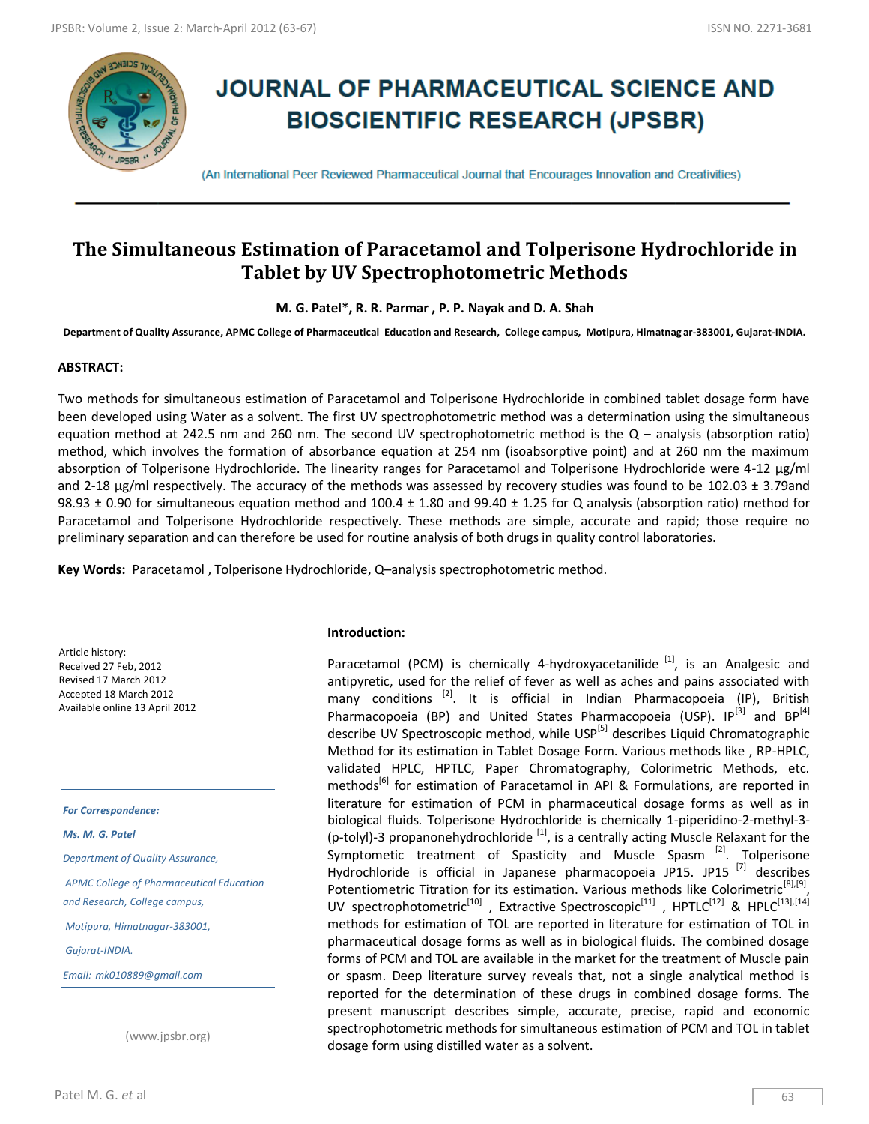

# **JOURNAL OF PHARMACEUTICAL SCIENCE AND BIOSCIENTIFIC RESEARCH (JPSBR)**

(An International Peer Reviewed Pharmaceutical Journal that Encourages Innovation and Creativities)

# **The Simultaneous Estimation of Paracetamol and Tolperisone Hydrochloride in Tablet by UV Spectrophotometric Methods**

**M. G. Patel\*, R. R. Parmar , P. P. Nayak and D. A. Shah**

**Department of Quality Assurance, APMC College of Pharmaceutical Education and Research, College campus, Motipura, Himatnag ar-383001, Gujarat-INDIA.**

### **ABSTRACT:**

Two methods for simultaneous estimation of Paracetamol and Tolperisone Hydrochloride in combined tablet dosage form have been developed using Water as a solvent. The first UV spectrophotometric method was a determination using the simultaneous equation method at 242.5 nm and 260 nm. The second UV spectrophotometric method is the  $Q$  – analysis (absorption ratio) method, which involves the formation of absorbance equation at 254 nm (isoabsorptive point) and at 260 nm the maximum absorption of Tolperisone Hydrochloride. The linearity ranges for Paracetamol and Tolperisone Hydrochloride were 4-12 μg/ml and 2-18  $\mu$ g/ml respectively. The accuracy of the methods was assessed by recovery studies was found to be 102.03  $\pm$  3.79and 98.93 ± 0.90 for simultaneous equation method and 100.4 ± 1.80 and 99.40 ± 1.25 for Q analysis (absorption ratio) method for Paracetamol and Tolperisone Hydrochloride respectively. These methods are simple, accurate and rapid; those require no preliminary separation and can therefore be used for routine analysis of both drugs in quality control laboratories.

**Key Words:** Paracetamol , Tolperisone Hydrochloride, Q–analysis spectrophotometric method.

Article history: Received 27 Feb, 2012 Revised 17 March 2012 Accepted 18 March 2012 Available online 13 April 2012

*For Correspondence:*

*Ms. M. G. Patel*

*Department of Quality Assurance,*

*APMC College of Pharmaceutical Education and Research, College campus,* 

*Motipura, Himatnagar-383001,*

*Gujarat-INDIA.*

*Email: mk010889@gmail.com*

(www.jpsbr.org)

#### **Introduction:**

Paracetamol (PCM) is chemically 4-hydroxyacetanilide  $^{[1]}$ , is an Analgesic and antipyretic, used for the relief of fever as well as aches and pains associated with many conditions  $^{[2]}$ . It is official in Indian Pharmacopoeia  $(IP)$ , British Pharmacopoeia (BP) and United States Pharmacopoeia (USP).  $IP^{[3]}$  and  $BP^{[4]}$ describe UV Spectroscopic method, while USP<sup>[5]</sup> describes Liquid Chromatographic Method for its estimation in Tablet Dosage Form. Various methods like , RP-HPLC, validated HPLC, HPTLC, Paper Chromatography, Colorimetric Methods, etc. methods<sup>[6]</sup> for estimation of Paracetamol in API & Formulations, are reported in literature for estimation of PCM in pharmaceutical dosage forms as well as in biological fluids. Tolperisone Hydrochloride is chemically 1-piperidino-2-methyl-3- (p-tolyl)-3 propanonehydrochloride  $^{[1]}$ , is a centrally acting Muscle Relaxant for the Symptometic treatment of Spasticity and Muscle Spasm<sup>[2]</sup>. Tolperisone Hydrochloride is official in Japanese pharmacopoeia JP15. JP15  $^{[7]}$  describes Potentiometric Titration for its estimation. Various methods like Colorimetric<sup>[8],[9]</sup>, UV spectrophotometric<sup>[10]</sup>, Extractive Spectroscopic<sup>[11]</sup>, HPTLC<sup>[12]</sup> & HPLC<sup>[13],[14]</sup> methods for estimation of TOL are reported in literature for estimation of TOL in pharmaceutical dosage forms as well as in biological fluids. The combined dosage forms of PCM and TOL are available in the market for the treatment of Muscle pain or spasm. Deep literature survey reveals that, not a single analytical method is reported for the determination of these drugs in combined dosage forms. The present manuscript describes simple, accurate, precise, rapid and economic spectrophotometric methods for simultaneous estimation of PCM and TOL in tablet dosage form using distilled water as a solvent.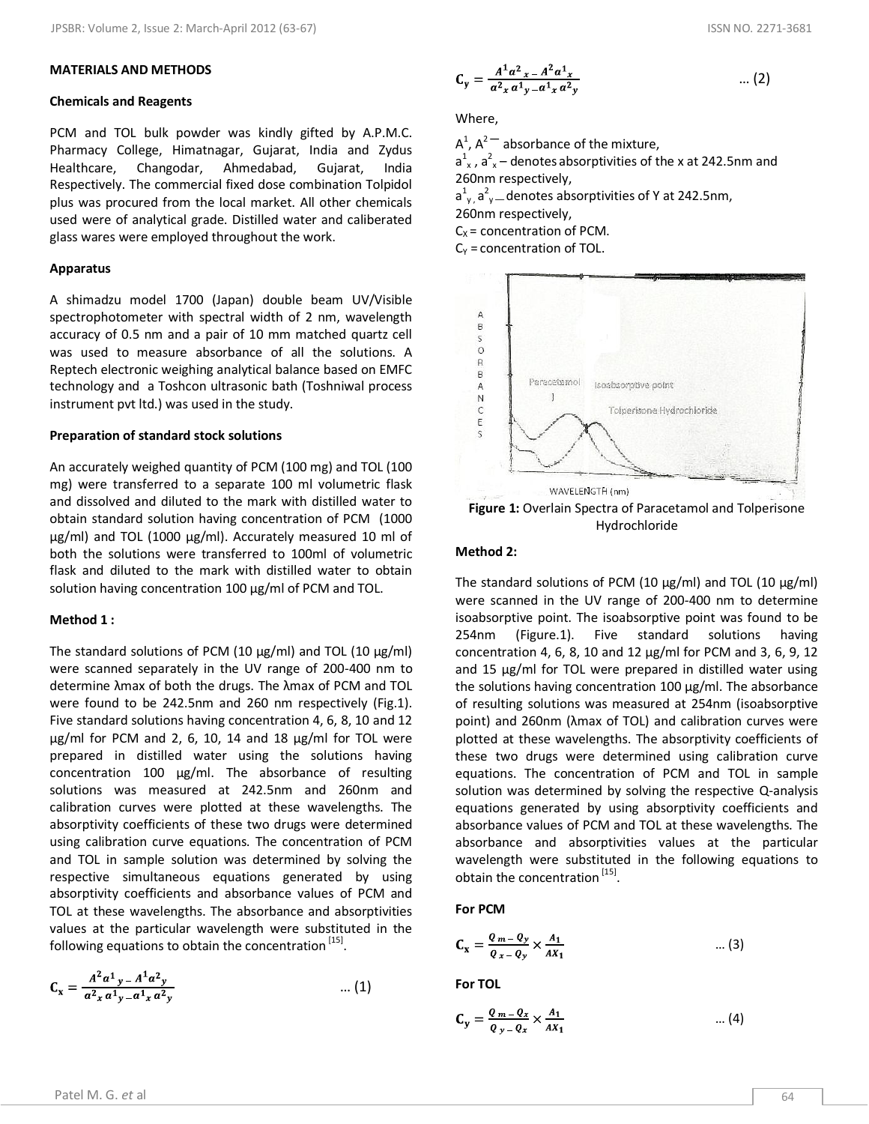#### **MATERIALS AND METHODS**

#### **Chemicals and Reagents**

PCM and TOL bulk powder was kindly gifted by A.P.M.C. Pharmacy College, Himatnagar, Gujarat, India and Zydus Healthcare, Changodar, Ahmedabad, Gujarat, India Respectively. The commercial fixed dose combination Tolpidol plus was procured from the local market. All other chemicals used were of analytical grade. Distilled water and caliberated glass wares were employed throughout the work.

#### **Apparatus**

A shimadzu model 1700 (Japan) double beam UV/Visible spectrophotometer with spectral width of 2 nm, wavelength accuracy of 0.5 nm and a pair of 10 mm matched quartz cell was used to measure absorbance of all the solutions. A Reptech electronic weighing analytical balance based on EMFC technology and a Toshcon ultrasonic bath (Toshniwal process instrument pvt ltd.) was used in the study.

#### **Preparation of standard stock solutions**

An accurately weighed quantity of PCM (100 mg) and TOL (100 mg) were transferred to a separate 100 ml volumetric flask and dissolved and diluted to the mark with distilled water to obtain standard solution having concentration of PCM (1000 μg/ml) and TOL (1000 μg/ml). Accurately measured 10 ml of both the solutions were transferred to 100ml of volumetric flask and diluted to the mark with distilled water to obtain solution having concentration 100 μg/ml of PCM and TOL.

#### **Method 1 :**

The standard solutions of PCM (10 μg/ml) and TOL (10 μg/ml) were scanned separately in the UV range of 200-400 nm to determine λmax of both the drugs. The λmax of PCM and TOL were found to be 242.5nm and 260 nm respectively (Fig.1). Five standard solutions having concentration 4, 6, 8, 10 and 12 μg/ml for PCM and 2, 6, 10, 14 and 18 μg/ml for TOL were prepared in distilled water using the solutions having concentration 100 μg/ml. The absorbance of resulting solutions was measured at 242.5nm and 260nm and calibration curves were plotted at these wavelengths. The absorptivity coefficients of these two drugs were determined using calibration curve equations. The concentration of PCM and TOL in sample solution was determined by solving the respective simultaneous equations generated by using absorptivity coefficients and absorbance values of PCM and TOL at these wavelengths. The absorbance and absorptivities values at the particular wavelength were substituted in the following equations to obtain the concentration <sup>[15]</sup>.

$$
C_x = \frac{A^2 a^1 y - A^1 a^2 y}{a^2 x a^1 y - a^1 x a^2 y} \qquad \qquad \dots (1)
$$

$$
C_y = \frac{A^1 a^2 x - A^2 a^1 x}{a^2 x a^1 y - a^1 x a^2 y} \qquad \qquad \dots (2)
$$

Where,

A 1 , A<sup>2</sup>**––** absorbance of the mixture,  $a_{x}^{1}$ ,  $a_{x}^{2}$  – denotes absorptivities of the x at 242.5nm and 260nm respectively,  $a_{y}^{1}, a_{y}^{2}$  denotes absorptivities of Y at 242.5nm, 260nm respectively,  $C_x$  = concentration of PCM.  $C_Y$  = concentration of TOL.



Hydrochloride

# **Method 2:**

The standard solutions of PCM (10 μg/ml) and TOL (10 μg/ml) were scanned in the UV range of 200-400 nm to determine isoabsorptive point. The isoabsorptive point was found to be 254nm (Figure.1). Five standard solutions having concentration 4, 6, 8, 10 and 12 μg/ml for PCM and 3, 6, 9, 12 and 15 μg/ml for TOL were prepared in distilled water using the solutions having concentration 100 μg/ml. The absorbance of resulting solutions was measured at 254nm (isoabsorptive point) and 260nm (λmax of TOL) and calibration curves were plotted at these wavelengths. The absorptivity coefficients of these two drugs were determined using calibration curve equations. The concentration of PCM and TOL in sample solution was determined by solving the respective Q-analysis equations generated by using absorptivity coefficients and absorbance values of PCM and TOL at these wavelengths. The absorbance and absorptivities values at the particular wavelength were substituted in the following equations to obtain the concentration <sup>[15]</sup>.

#### **For PCM**

$$
C_x = \frac{Q_m - Q_y}{Q_x - Q_y} \times \frac{A_1}{AX_1} \qquad \qquad \dots (3)
$$

**For TOL**

$$
C_y = \frac{Q_m - Q_x}{Q_y - Q_x} \times \frac{A_1}{AX_1} \qquad \qquad \dots (4)
$$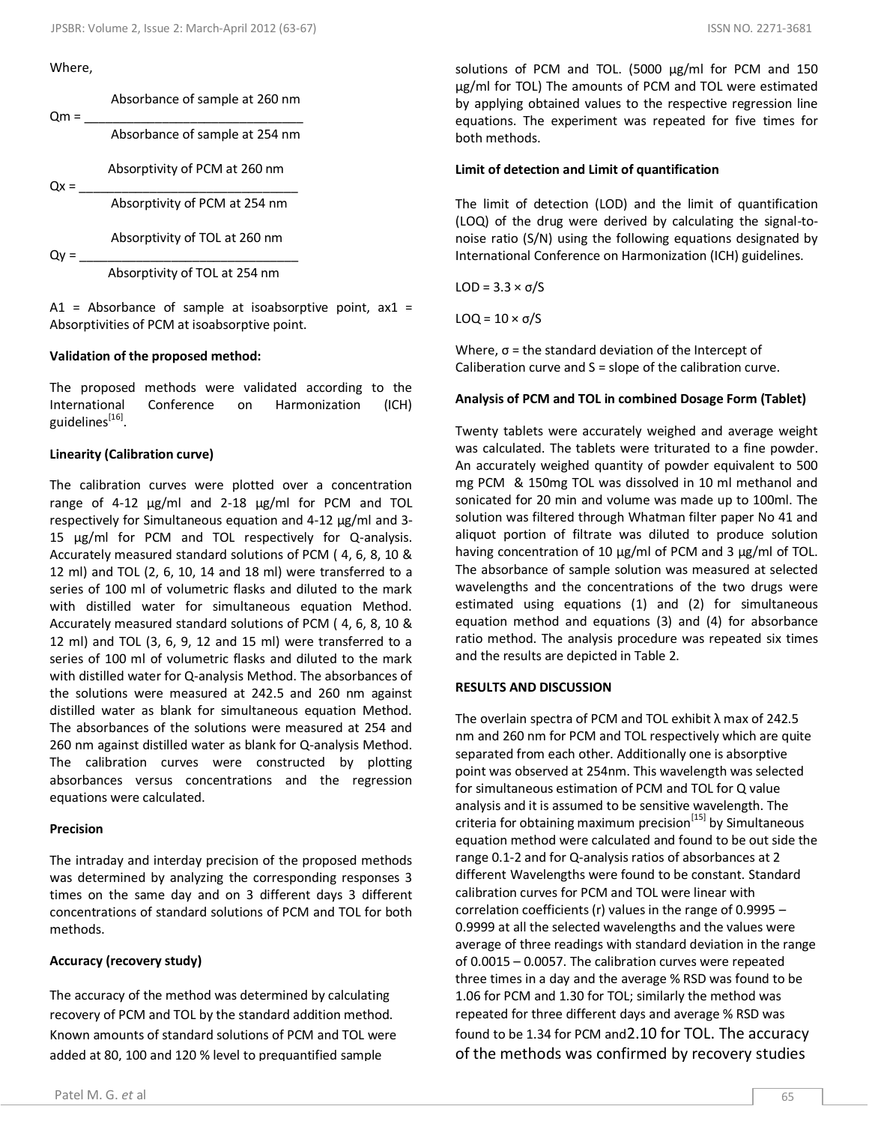# Where,

 $Qm =$ 

Absorbance of sample at 260 nm

Absorbance of sample at 254 nm

Absorptivity of PCM at 260 nm

 $Qx =$ 

Absorptivity of PCM at 254 nm

Absorptivity of TOL at 260 nm

 $Qy =$ 

Absorptivity of TOL at 254 nm

A1 = Absorbance of sample at isoabsorptive point,  $ax1 =$ Absorptivities of PCM at isoabsorptive point.

#### **Validation of the proposed method:**

The proposed methods were validated according to the International Conference on Harmonization (ICH) guidelines<sup>[16]</sup>.

#### **Linearity (Calibration curve)**

The calibration curves were plotted over a concentration range of 4-12 μg/ml and 2-18 μg/ml for PCM and TOL respectively for Simultaneous equation and 4-12 μg/ml and 3- 15 μg/ml for PCM and TOL respectively for Q-analysis. Accurately measured standard solutions of PCM ( 4, 6, 8, 10 & 12 ml) and TOL (2, 6, 10, 14 and 18 ml) were transferred to a series of 100 ml of volumetric flasks and diluted to the mark with distilled water for simultaneous equation Method. Accurately measured standard solutions of PCM ( 4, 6, 8, 10 & 12 ml) and TOL (3, 6, 9, 12 and 15 ml) were transferred to a series of 100 ml of volumetric flasks and diluted to the mark with distilled water for Q-analysis Method. The absorbances of the solutions were measured at 242.5 and 260 nm against distilled water as blank for simultaneous equation Method. The absorbances of the solutions were measured at 254 and 260 nm against distilled water as blank for Q-analysis Method. The calibration curves were constructed by plotting absorbances versus concentrations and the regression equations were calculated.

#### **Precision**

The intraday and interday precision of the proposed methods was determined by analyzing the corresponding responses 3 times on the same day and on 3 different days 3 different concentrations of standard solutions of PCM and TOL for both methods.

#### **Accuracy (recovery study)**

The accuracy of the method was determined by calculating recovery of PCM and TOL by the standard addition method. Known amounts of standard solutions of PCM and TOL were added at 80, 100 and 120 % level to prequantified sample

solutions of PCM and TOL. (5000 μg/ml for PCM and 150 μg/ml for TOL) The amounts of PCM and TOL were estimated by applying obtained values to the respective regression line equations. The experiment was repeated for five times for both methods.

#### **Limit of detection and Limit of quantification**

The limit of detection (LOD) and the limit of quantification (LOQ) of the drug were derived by calculating the signal-tonoise ratio (S/N) using the following equations designated by International Conference on Harmonization (ICH) guidelines.

LOD = 3.3 × σ/S

LOQ =  $10 \times σ/S$ 

Where,  $\sigma$  = the standard deviation of the Intercept of Caliberation curve and S = slope of the calibration curve.

#### **Analysis of PCM and TOL in combined Dosage Form (Tablet)**

Twenty tablets were accurately weighed and average weight was calculated. The tablets were triturated to a fine powder. An accurately weighed quantity of powder equivalent to 500 mg PCM & 150mg TOL was dissolved in 10 ml methanol and sonicated for 20 min and volume was made up to 100ml. The solution was filtered through Whatman filter paper No 41 and aliquot portion of filtrate was diluted to produce solution having concentration of 10 μg/ml of PCM and 3 μg/ml of TOL. The absorbance of sample solution was measured at selected wavelengths and the concentrations of the two drugs were estimated using equations (1) and (2) for simultaneous equation method and equations (3) and (4) for absorbance ratio method. The analysis procedure was repeated six times and the results are depicted in Table 2.

# **RESULTS AND DISCUSSION**

The overlain spectra of PCM and TOL exhibit λ max of 242.5 nm and 260 nm for PCM and TOL respectively which are quite separated from each other. Additionally one is absorptive point was observed at 254nm. This wavelength was selected for simultaneous estimation of PCM and TOL for Q value analysis and it is assumed to be sensitive wavelength. The criteria for obtaining maximum precision $[15]$  by Simultaneous equation method were calculated and found to be out side the range 0.1-2 and for Q-analysis ratios of absorbances at 2 different Wavelengths were found to be constant. Standard calibration curves for PCM and TOL were linear with correlation coefficients (r) values in the range of 0.9995 – 0.9999 at all the selected wavelengths and the values were average of three readings with standard deviation in the range of 0.0015 – 0.0057. The calibration curves were repeated three times in a day and the average % RSD was found to be 1.06 for PCM and 1.30 for TOL; similarly the method was repeated for three different days and average % RSD was found to be 1.34 for PCM and2.10 for TOL. The accuracy of the methods was confirmed by recovery studies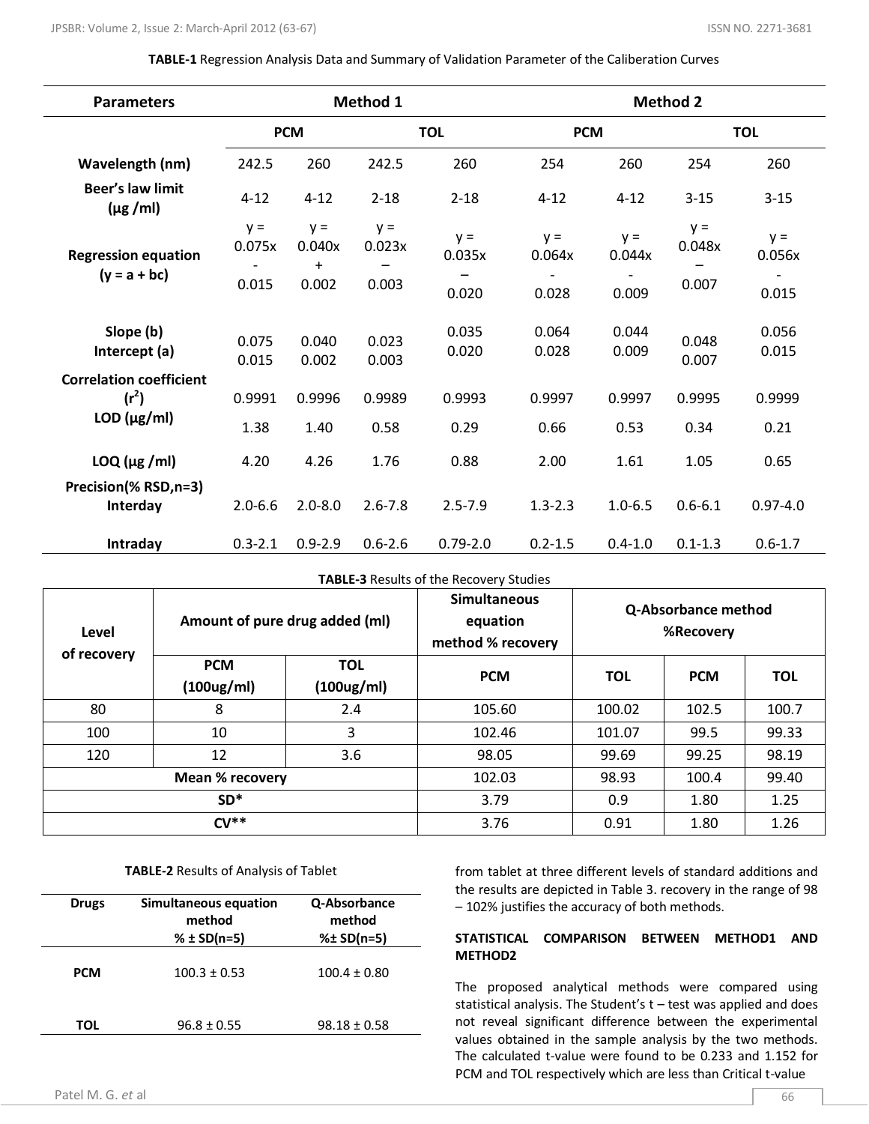#### **TABLE-1** Regression Analysis Data and Summary of Validation Parameter of the Caliberation Curves

| <b>Parameters</b>                                                |                 |                        | Method 1        |                 |                 |                 | <b>Method 2</b> |                 |
|------------------------------------------------------------------|-----------------|------------------------|-----------------|-----------------|-----------------|-----------------|-----------------|-----------------|
|                                                                  | <b>PCM</b>      |                        | <b>TOL</b>      |                 | <b>PCM</b>      |                 | <b>TOL</b>      |                 |
| Wavelength (nm)                                                  | 242.5           | 260                    | 242.5           | 260             | 254             | 260             | 254             | 260             |
| <b>Beer's law limit</b><br>$(\mu g / m)$                         | $4 - 12$        | $4 - 12$               | $2 - 18$        | $2 - 18$        | $4 - 12$        | $4 - 12$        | $3 - 15$        | $3 - 15$        |
| <b>Regression equation</b>                                       | $y =$<br>0.075x | $y =$<br>0.040x<br>$+$ | $y =$<br>0.023x | $y =$<br>0.035x | $y =$<br>0.064x | $y =$<br>0.044x | $y =$<br>0.048x | $y =$<br>0.056x |
| $(y = a + bc)$                                                   | 0.015           | 0.002                  | 0.003           | 0.020           | 0.028           | 0.009           | 0.007           | 0.015           |
| Slope (b)<br>Intercept (a)                                       | 0.075<br>0.015  | 0.040<br>0.002         | 0.023<br>0.003  | 0.035<br>0.020  | 0.064<br>0.028  | 0.044<br>0.009  | 0.048<br>0.007  | 0.056<br>0.015  |
| <b>Correlation coefficient</b><br>$(r^2)$<br>$LOD$ ( $\mu$ g/ml) | 0.9991          | 0.9996                 | 0.9989          | 0.9993          | 0.9997          | 0.9997          | 0.9995          | 0.9999          |
|                                                                  | 1.38            | 1.40                   | 0.58            | 0.29            | 0.66            | 0.53            | 0.34            | 0.21            |
| $LOQ$ ( $\mu$ g /ml)                                             | 4.20            | 4.26                   | 1.76            | 0.88            | 2.00            | 1.61            | 1.05            | 0.65            |
| Precision(% RSD,n=3)<br>Interday                                 | $2.0 - 6.6$     | $2.0 - 8.0$            | $2.6 - 7.8$     | $2.5 - 7.9$     | $1.3 - 2.3$     | $1.0 - 6.5$     | $0.6 - 6.1$     | $0.97 - 4.0$    |
| Intraday                                                         | $0.3 - 2.1$     | $0.9 - 2.9$            | $0.6 - 2.6$     | $0.79 - 2.0$    | $0.2 - 1.5$     | $0.4 - 1.0$     | $0.1 - 1.3$     | $0.6 - 1.7$     |

#### **TABLE-3** Results of the Recovery Studies

| Amount of pure drug added (ml)<br>Level<br>of recovery |                          | <b>Simultaneous</b><br>equation<br>method % recovery | Q-Absorbance method<br>%Recovery |            |            |            |
|--------------------------------------------------------|--------------------------|------------------------------------------------------|----------------------------------|------------|------------|------------|
|                                                        | <b>PCM</b><br><b>TOL</b> |                                                      | <b>PCM</b>                       | <b>TOL</b> | <b>PCM</b> | <b>TOL</b> |
|                                                        | (100ug/ml)               | $(100\mu g/ml)$                                      |                                  |            |            |            |
| 80                                                     | 8                        | 2.4                                                  | 105.60                           | 100.02     | 102.5      | 100.7      |
| 100                                                    | 10                       | 3                                                    | 102.46                           | 101.07     | 99.5       | 99.33      |
| 120                                                    | 12                       | 3.6                                                  | 98.05                            | 99.69      | 99.25      | 98.19      |
| Mean % recovery                                        |                          |                                                      | 102.03                           | 98.93      | 100.4      | 99.40      |
| $SD*$                                                  |                          |                                                      | 3.79                             | 0.9        | 1.80       | 1.25       |
| $CV**$                                                 |                          |                                                      | 3.76                             | 0.91       | 1.80       | 1.26       |

#### **TABLE-2** Results of Analysis of Tablet

| <b>Drugs</b> | Simultaneous equation<br>method<br>% $±$ SD(n=5) | Q-Absorbance<br>method<br>%± SD(n=5) |
|--------------|--------------------------------------------------|--------------------------------------|
| <b>PCM</b>   | $100.3 \pm 0.53$                                 | $100.4 \pm 0.80$                     |
| TOL          | $96.8 \pm 0.55$                                  | $98.18 \pm 0.58$                     |

from tablet at three different levels of standard additions and the results are depicted in Table 3. recovery in the range of 98 – 102% justifies the accuracy of both methods.

# **STATISTICAL COMPARISON BETWEEN METHOD1 AND METHOD2**

The proposed analytical methods were compared using statistical analysis. The Student's t – test was applied and does not reveal significant difference between the experimental values obtained in the sample analysis by the two methods. The calculated t-value were found to be 0.233 and 1.152 for PCM and TOL respectively which are less than Critical t-value